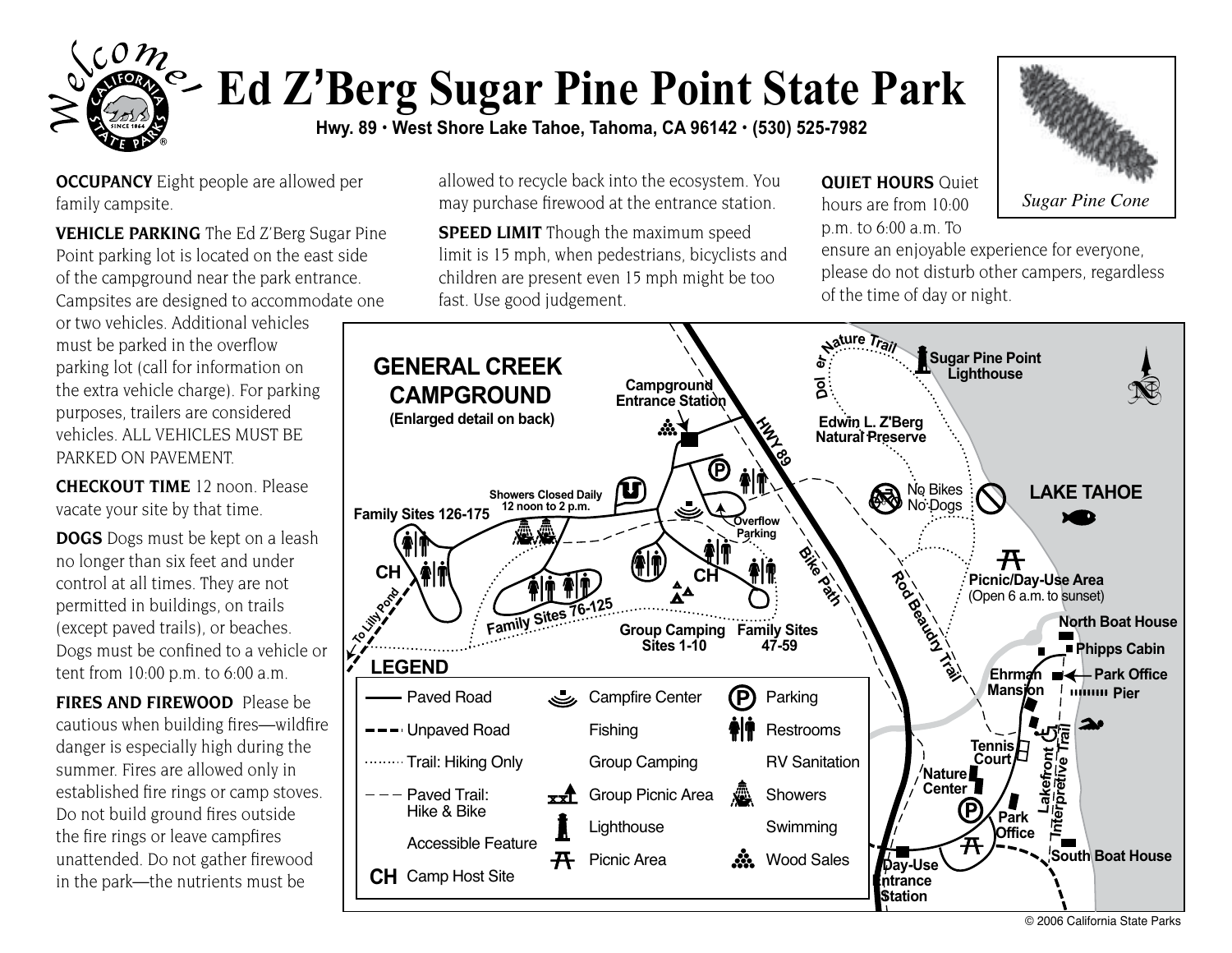

## **Ed Z'Berg Sugar Pine Point State Park**

**Hwy. 89 • West Shore Lake Tahoe, Tahoma, CA 96142 • (530) 525-7982** 

**OCCUPANCY** Eight people are allowed per family campsite.

**VEHICLE PARKING** The Ed Z'Berg Sugar Pine Point parking lot is located on the east side of the campground near the park entrance. Campsites are designed to accommodate one

or two vehicles. Additional vehicles must be parked in the overflow parking lot (call for information on the extra vehicle charge). For parking purposes, trailers are considered vehicles. ALL VEHICLES MUST BE PARKED ON PAVEMENT.

**CHECKOUT TIME** 12 noon. Please vacate your site by that time.

**DOGS** Dogs must be kept on a leash no longer than six feet and under control at all times. They are not permitted in buildings, on trails (except paved trails), or beaches. Dogs must be confined to a vehicle or tent from 10:00 p.m. to 6:00 a.m.

**FIRES AND FIREWOOD** Please be cautious when building fires—wildfire danger is especially high during the summer. Fires are allowed only in established fire rings or camp stoves. Do not build ground fires outside the fire rings or leave campfires unattended. Do not gather firewood in the park—the nutrients must be

allowed to recycle back into the ecosystem. You may purchase firewood at the entrance station. *Sugar Pine Cone* **Sugar Pine Cone** 

**SPEED LIMIT** Though the maximum speed limit is 15 mph, when pedestrians, bicyclists and children are present even 15 mph might be too fast. Use good judgement.

**QUIET HOURS** Ouiet hours are from 10:00 p.m. to 6:00 a.m. To



ensure an enjoyable experience for everyone, please do not disturb other campers, regardless of the time of day or night.